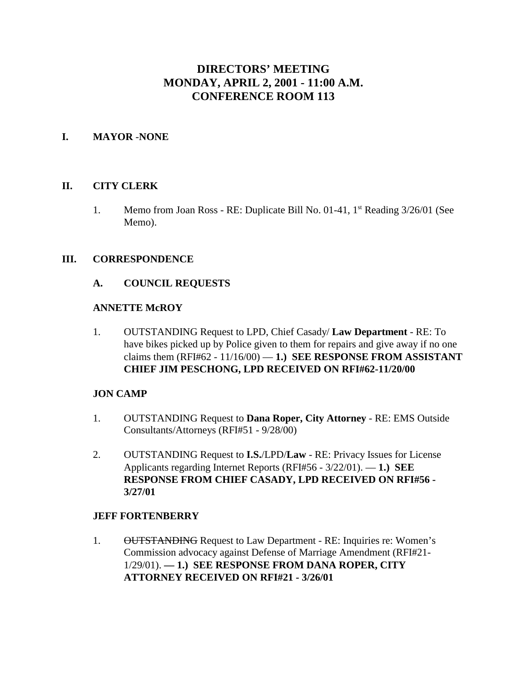# **DIRECTORS' MEETING MONDAY, APRIL 2, 2001 - 11:00 A.M. CONFERENCE ROOM 113**

### **I. MAYOR** -**NONE**

#### **II. CITY CLERK**

1. Memo from Joan Ross - RE: Duplicate Bill No.  $01-41$ ,  $1<sup>st</sup>$  Reading  $3/26/01$  (See Memo).

#### **III. CORRESPONDENCE**

#### **A. COUNCIL REQUESTS**

#### **ANNETTE McROY**

1. OUTSTANDING Request to LPD, Chief Casady/ **Law Department** - RE: To have bikes picked up by Police given to them for repairs and give away if no one claims them  $(RFI#62 - 11/16/00) - 1$ .) **SEE RESPONSE FROM ASSISTANT CHIEF JIM PESCHONG, LPD RECEIVED ON RFI#62-11/20/00** 

### **JON CAMP**

- 1. OUTSTANDING Request to **Dana Roper, City Attorney** RE: EMS Outside Consultants/Attorneys (RFI#51 - 9/28/00)
- 2. OUTSTANDING Request to **I.S.**/LPD/**Law** RE: Privacy Issues for License Applicants regarding Internet Reports (RFI#56 - 3/22/01). — **1.) SEE RESPONSE FROM CHIEF CASADY, LPD RECEIVED ON RFI#56 - 3/27/01**

#### **JEFF FORTENBERRY**

1. OUTSTANDING Request to Law Department - RE: Inquiries re: Women's Commission advocacy against Defense of Marriage Amendment (RFI#21- 1/29/01). **— 1.) SEE RESPONSE FROM DANA ROPER, CITY ATTORNEY RECEIVED ON RFI#21 - 3/26/01**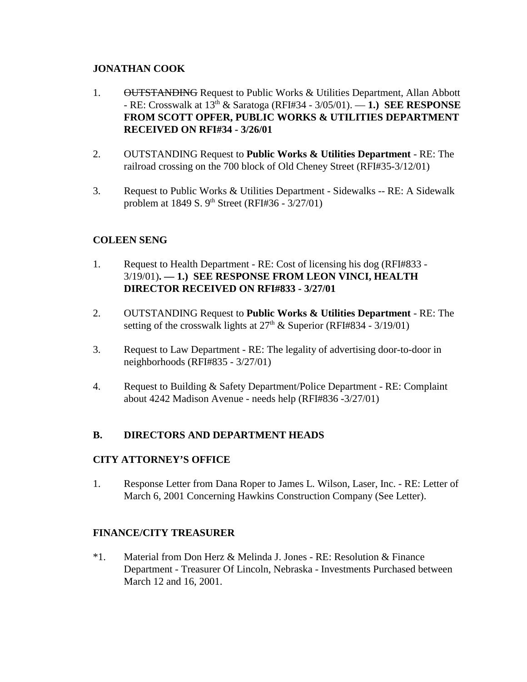### **JONATHAN COOK**

- 1. OUTSTANDING Request to Public Works & Utilities Department, Allan Abbott - RE: Crosswalk at 13th & Saratoga (RFI#34 - 3/05/01). — **1.) SEE RESPONSE FROM SCOTT OPFER, PUBLIC WORKS & UTILITIES DEPARTMENT RECEIVED ON RFI#34 - 3/26/01**
- 2. OUTSTANDING Request to **Public Works & Utilities Department** RE: The railroad crossing on the 700 block of Old Cheney Street (RFI#35-3/12/01)
- 3. Request to Public Works & Utilities Department Sidewalks -- RE: A Sidewalk problem at 1849 S. 9<sup>th</sup> Street (RFI#36 - 3/27/01)

# **COLEEN SENG**

- 1. Request to Health Department RE: Cost of licensing his dog (RFI#833 3/19/01)**. — 1.) SEE RESPONSE FROM LEON VINCI, HEALTH DIRECTOR RECEIVED ON RFI#833 - 3/27/01**
- 2. OUTSTANDING Request to **Public Works & Utilities Department** RE: The setting of the crosswalk lights at  $27<sup>th</sup>$  & Superior (RFI#834 - 3/19/01)
- 3. Request to Law Department RE: The legality of advertising door-to-door in neighborhoods (RFI#835 - 3/27/01)
- 4. Request to Building & Safety Department/Police Department RE: Complaint about 4242 Madison Avenue - needs help (RFI#836 -3/27/01)

### **B. DIRECTORS AND DEPARTMENT HEADS**

### **CITY ATTORNEY'S OFFICE**

1. Response Letter from Dana Roper to James L. Wilson, Laser, Inc. - RE: Letter of March 6, 2001 Concerning Hawkins Construction Company (See Letter).

### **FINANCE/CITY TREASURER**

\*1. Material from Don Herz & Melinda J. Jones - RE: Resolution & Finance Department - Treasurer Of Lincoln, Nebraska - Investments Purchased between March 12 and 16, 2001.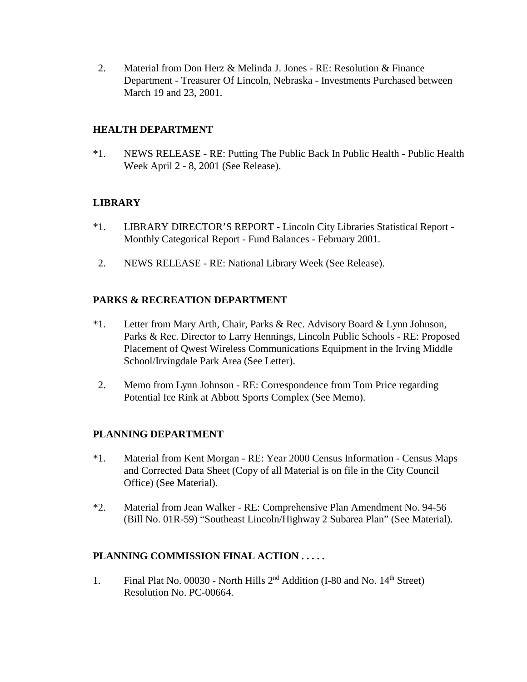2. Material from Don Herz & Melinda J. Jones - RE: Resolution & Finance Department - Treasurer Of Lincoln, Nebraska - Investments Purchased between March 19 and 23, 2001.

### **HEALTH DEPARTMENT**

\*1. NEWS RELEASE - RE: Putting The Public Back In Public Health - Public Health Week April 2 - 8, 2001 (See Release).

### **LIBRARY**

- \*1. LIBRARY DIRECTOR'S REPORT Lincoln City Libraries Statistical Report Monthly Categorical Report - Fund Balances - February 2001.
- 2. NEWS RELEASE RE: National Library Week (See Release).

## **PARKS & RECREATION DEPARTMENT**

- \*1. Letter from Mary Arth, Chair, Parks & Rec. Advisory Board & Lynn Johnson, Parks & Rec. Director to Larry Hennings, Lincoln Public Schools - RE: Proposed Placement of Qwest Wireless Communications Equipment in the Irving Middle School/Irvingdale Park Area (See Letter).
- 2. Memo from Lynn Johnson RE: Correspondence from Tom Price regarding Potential Ice Rink at Abbott Sports Complex (See Memo).

### **PLANNING DEPARTMENT**

- \*1. Material from Kent Morgan RE: Year 2000 Census Information Census Maps and Corrected Data Sheet (Copy of all Material is on file in the City Council Office) (See Material).
- \*2. Material from Jean Walker RE: Comprehensive Plan Amendment No. 94-56 (Bill No. 01R-59) "Southeast Lincoln/Highway 2 Subarea Plan" (See Material).

### **PLANNING COMMISSION FINAL ACTION . . . . .**

1. Final Plat No. 00030 - North Hills  $2<sup>nd</sup>$  Addition (I-80 and No. 14<sup>th</sup> Street) Resolution No. PC-00664.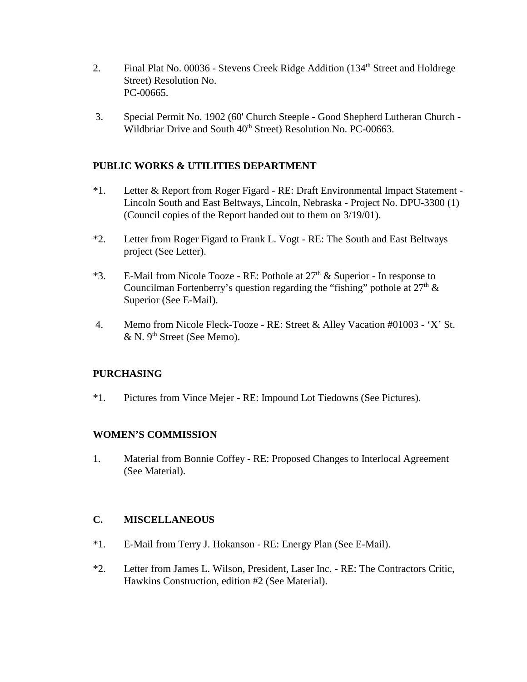- 2. Final Plat No. 00036 Stevens Creek Ridge Addition (134<sup>th</sup> Street and Holdrege Street) Resolution No. PC-00665.
- 3. Special Permit No. 1902 (60' Church Steeple Good Shepherd Lutheran Church Wildbriar Drive and South 40<sup>th</sup> Street) Resolution No. PC-00663.

### **PUBLIC WORKS & UTILITIES DEPARTMENT**

- \*1. Letter & Report from Roger Figard RE: Draft Environmental Impact Statement Lincoln South and East Beltways, Lincoln, Nebraska - Project No. DPU-3300 (1) (Council copies of the Report handed out to them on 3/19/01).
- \*2. Letter from Roger Figard to Frank L. Vogt RE: The South and East Beltways project (See Letter).
- \*3. E-Mail from Nicole Tooze RE: Pothole at  $27<sup>th</sup>$  & Superior In response to Councilman Fortenberry's question regarding the "fishing" pothole at  $27<sup>th</sup>$  & Superior (See E-Mail).
- 4. Memo from Nicole Fleck-Tooze RE: Street & Alley Vacation #01003 'X' St. & N. 9<sup>th</sup> Street (See Memo).

### **PURCHASING**

\*1. Pictures from Vince Mejer - RE: Impound Lot Tiedowns (See Pictures).

### **WOMEN'S COMMISSION**

1. Material from Bonnie Coffey - RE: Proposed Changes to Interlocal Agreement (See Material).

### **C. MISCELLANEOUS**

- \*1. E-Mail from Terry J. Hokanson RE: Energy Plan (See E-Mail).
- \*2. Letter from James L. Wilson, President, Laser Inc. RE: The Contractors Critic, Hawkins Construction, edition #2 (See Material).